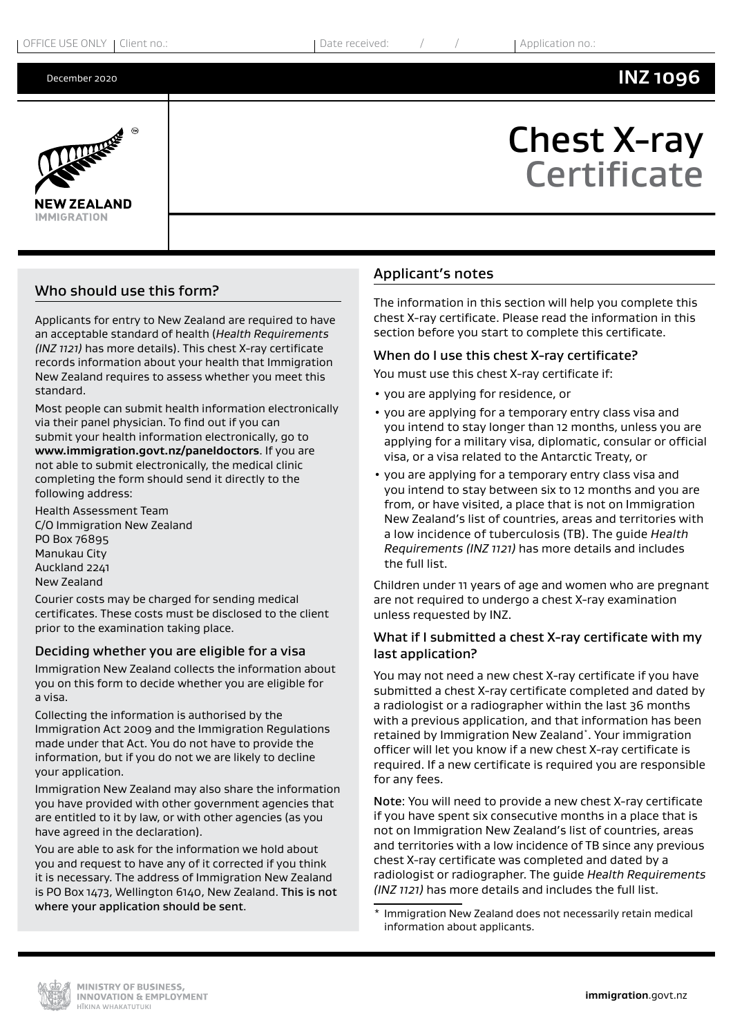#### December 2020

Chest X-ray

**Certificate** 



# Who should use this form?

Applicants for entry to New Zealand are required to have an acceptable standard of health (*Health Requirements (INZ 1121)* has more details). This chest X-ray certificate records information about your health that Immigration New Zealand requires to assess whether you meet this standard.

Most people can submit health information electronically via their panel physician. To find out if you can submit your health information electronically, go to **[www.immigration.govt.nz/paneldoctors](http://www.immigration.govt.nz/paneldoctors)**. If you are not able to submit electronically, the medical clinic completing the form should send it directly to the following address:

Health Assessment Team C/O Immigration New Zealand PO Box 76895 Manukau City Auckland 2241 New Zealand

Courier costs may be charged for sending medical certificates. These costs must be disclosed to the client prior to the examination taking place.

## Deciding whether you are eligible for a visa

Immigration New Zealand collects the information about you on this form to decide whether you are eligible for a visa.

Collecting the information is authorised by the Immigration Act 2009 and the Immigration Regulations made under that Act. You do not have to provide the information, but if you do not we are likely to decline your application.

Immigration New Zealand may also share the information you have provided with other government agencies that are entitled to it by law, or with other agencies (as you have agreed in the declaration).

You are able to ask for the information we hold about you and request to have any of it corrected if you think it is necessary. The address of Immigration New Zealand is PO Box 1473, Wellington 6140, New Zealand. This is not where your application should be sent.

## Applicant's notes

The information in this section will help you complete this chest X-ray certificate. Please read the information in this section before you start to complete this certificate.

## When do I use this chest X-ray certificate?

You must use this chest X-ray certificate if:

- you are applying for residence, or
- you are applying for a temporary entry class visa and you intend to stay longer than 12 months, unless you are applying for a military visa, diplomatic, consular or official visa, or a visa related to the Antarctic Treaty, or
- you are applying for a temporary entry class visa and you intend to stay between six to 12 months and you are from, or have visited, a place that is not on Immigration New Zealand's list of countries, areas and territories with a low incidence of tuberculosis (TB). The guide *Health Requirements (INZ 1121)* has more details and includes the full list.

Children under 11 years of age and women who are pregnant are not required to undergo a chest X-ray examination unless requested by INZ.

## What if I submitted a chest X-ray certificate with my last application?

You may not need a new chest X-ray certificate if you have submitted a chest X-ray certificate completed and dated by a radiologist or a radiographer within the last 36 months with a previous application, and that information has been retained by Immigration New Zealand\*. Your immigration officer will let you know if a new chest X-ray certificate is required. If a new certificate is required you are responsible for any fees.

Note: You will need to provide a new chest X-ray certificate if you have spent six consecutive months in a place that is not on Immigration New Zealand's list of countries, areas and territories with a low incidence of TB since any previous chest X-ray certificate was completed and dated by a radiologist or radiographer. The guide *Health Requirements (INZ 1121)* has more details and includes the full list.

Immigration New Zealand does not necessarily retain medical information about applicants.

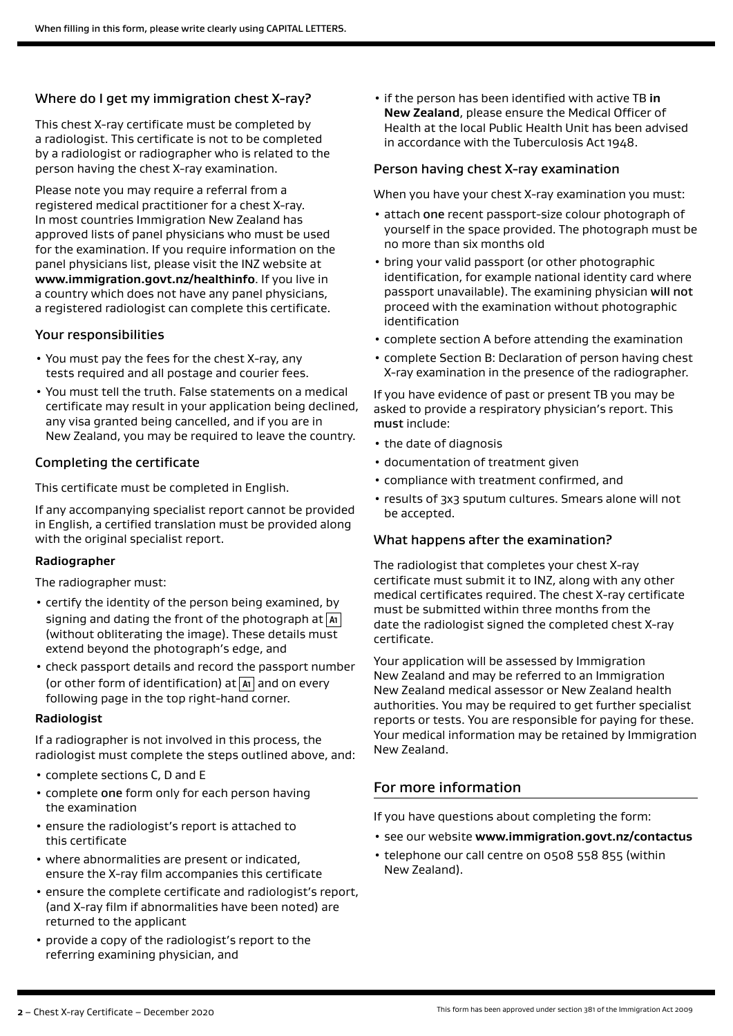## Where do I get my immigration chest X-ray?

This chest X-ray certificate must be completed by a radiologist. This certificate is not to be completed by a radiologist or radiographer who is related to the person having the chest X-ray examination.

Please note you may require a referral from a registered medical practitioner for a chest X-ray. In most countries Immigration New Zealand has approved lists of panel physicians who must be used for the examination. If you require information on the panel physicians list, please visit the INZ website at **www.immigration.govt.nz/healthinfo**. If you live in a country which does not have any panel physicians, a registered radiologist can complete this certificate.

### Your responsibilities

- You must pay the fees for the chest X-ray, any tests required and all postage and courier fees.
- You must tell the truth. False statements on a medical certificate may result in your application being declined, any visa granted being cancelled, and if you are in New Zealand, you may be required to leave the country.

## Completing the certificate

This certificate must be completed in English.

If any accompanying specialist report cannot be provided in English, a certified translation must be provided along with the original specialist report.

#### **Radiographer**

The radiographer must:

- certify the identity of the person being examined, by signing and dating the front of the photograph at **A1** (without obliterating the image). These details must extend beyond the photograph's edge, and
- check passport details and record the passport number (or other form of identification) at **A1** and on every following page in the top right-hand corner.

#### **Radiologist**

If a radiographer is not involved in this process, the radiologist must complete the steps outlined above, and:

- complete sections C, D and E
- complete one form only for each person having the examination
- ensure the radiologist's report is attached to this certificate
- where abnormalities are present or indicated, ensure the X-ray film accompanies this certificate
- ensure the complete certificate and radiologist's report, (and X-ray film if abnormalities have been noted) are returned to the applicant
- provide a copy of the radiologist's report to the referring examining physician, and

• if the person has been identified with active TB **in New Zealand**, please ensure the Medical Officer of Health at the local Public Health Unit has been advised in accordance with the Tuberculosis Act 1948.

### Person having chest X-ray examination

When you have your chest X-ray examination you must:

- attach one recent passport-size colour photograph of yourself in the space provided. The photograph must be no more than six months old
- bring your valid passport (or other photographic identification, for example national identity card where passport unavailable). The examining physician will not proceed with the examination without photographic identification
- complete section A before attending the examination
- complete Section B: Declaration of person having chest X-ray examination in the presence of the radiographer.

If you have evidence of past or present TB you may be asked to provide a respiratory physician's report. This must include:

- the date of diagnosis
- documentation of treatment given
- compliance with treatment confirmed, and
- results of 3x3 sputum cultures. Smears alone will not be accepted.

## What happens after the examination?

The radiologist that completes your chest X-ray certificate must submit it to INZ, along with any other medical certificates required. The chest X-ray certificate must be submitted within three months from the date the radiologist signed the completed chest X-ray certificate.

Your application will be assessed by Immigration New Zealand and may be referred to an Immigration New Zealand medical assessor or New Zealand health authorities. You may be required to get further specialist reports or tests. You are responsible for paying for these. Your medical information may be retained by Immigration New Zealand.

## For more information

If you have questions about completing the form:

- see our website **www.immigration.govt.nz/contactus**
- telephone our call centre on 0508 558 855 (within New Zealand).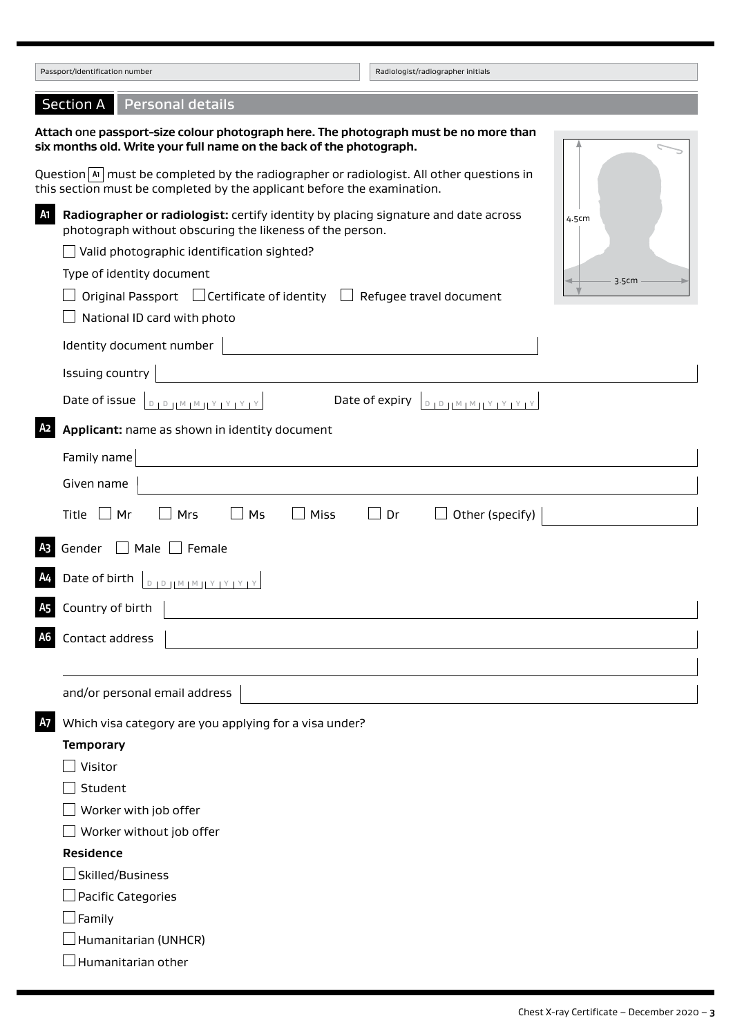| Passport/identification number                                                                                                                                                                                                                                                                                                                                                                                               | Radiologist/radiographer initials         |  |  |
|------------------------------------------------------------------------------------------------------------------------------------------------------------------------------------------------------------------------------------------------------------------------------------------------------------------------------------------------------------------------------------------------------------------------------|-------------------------------------------|--|--|
| <b>Personal details</b><br><b>Section A</b>                                                                                                                                                                                                                                                                                                                                                                                  |                                           |  |  |
| Attach one passport-size colour photograph here. The photograph must be no more than<br>six months old. Write your full name on the back of the photograph.<br>Question $ x $ must be completed by the radiographer or radiologist. All other questions in                                                                                                                                                                   |                                           |  |  |
| this section must be completed by the applicant before the examination.<br>A1<br>Radiographer or radiologist: certify identity by placing signature and date across<br>photograph without obscuring the likeness of the person.<br>Valid photographic identification sighted?<br>Type of identity document<br>Original Passport $\Box$ Certificate of identity $\Box$ Refugee travel document<br>National ID card with photo | 4.5cm<br>3.5cm                            |  |  |
| Identity document number                                                                                                                                                                                                                                                                                                                                                                                                     |                                           |  |  |
| Issuing country                                                                                                                                                                                                                                                                                                                                                                                                              |                                           |  |  |
| Date of issue $\left[ \begin{array}{c} \text{D1D1M1M1Y1Y1Y1Y} \\ \text{D2D1M1M1Y1Y1Y1Y} \end{array} \right]$                                                                                                                                                                                                                                                                                                                 | Date of expiry<br>$D D D H M M Y Y Y Y Y$ |  |  |
| A <sub>2</sub><br>Applicant: name as shown in identity document                                                                                                                                                                                                                                                                                                                                                              |                                           |  |  |
| Family name                                                                                                                                                                                                                                                                                                                                                                                                                  |                                           |  |  |
| Given name                                                                                                                                                                                                                                                                                                                                                                                                                   |                                           |  |  |
| $\Box$ Mr<br>Mrs<br>Ms<br>Miss<br>Title                                                                                                                                                                                                                                                                                                                                                                                      | Dr<br>Other (specify)                     |  |  |
| A <sub>3</sub><br>Gender<br>$\Box$ Male $\Box$ Female                                                                                                                                                                                                                                                                                                                                                                        |                                           |  |  |
| Date of birth $\boxed{\text{D1D1M1M1Y1Y1Y1Y}}$                                                                                                                                                                                                                                                                                                                                                                               |                                           |  |  |
| $\overline{\mathsf{A}}$ 5 Country of birth $\vert$                                                                                                                                                                                                                                                                                                                                                                           |                                           |  |  |
| Contact address<br>A6                                                                                                                                                                                                                                                                                                                                                                                                        |                                           |  |  |
| and/or personal email address                                                                                                                                                                                                                                                                                                                                                                                                |                                           |  |  |
| <b>A7</b><br>Which visa category are you applying for a visa under?                                                                                                                                                                                                                                                                                                                                                          |                                           |  |  |
| <b>Temporary</b>                                                                                                                                                                                                                                                                                                                                                                                                             |                                           |  |  |
| Visitor                                                                                                                                                                                                                                                                                                                                                                                                                      |                                           |  |  |
| Student                                                                                                                                                                                                                                                                                                                                                                                                                      |                                           |  |  |
| Worker with job offer                                                                                                                                                                                                                                                                                                                                                                                                        |                                           |  |  |
| Worker without job offer                                                                                                                                                                                                                                                                                                                                                                                                     |                                           |  |  |
| Residence                                                                                                                                                                                                                                                                                                                                                                                                                    |                                           |  |  |
| Skilled/Business_                                                                                                                                                                                                                                                                                                                                                                                                            |                                           |  |  |
| Pacific Categories                                                                                                                                                                                                                                                                                                                                                                                                           |                                           |  |  |
| ∫Family                                                                                                                                                                                                                                                                                                                                                                                                                      |                                           |  |  |
| Humanitarian (UNHCR)                                                                                                                                                                                                                                                                                                                                                                                                         |                                           |  |  |
| Humanitarian other                                                                                                                                                                                                                                                                                                                                                                                                           |                                           |  |  |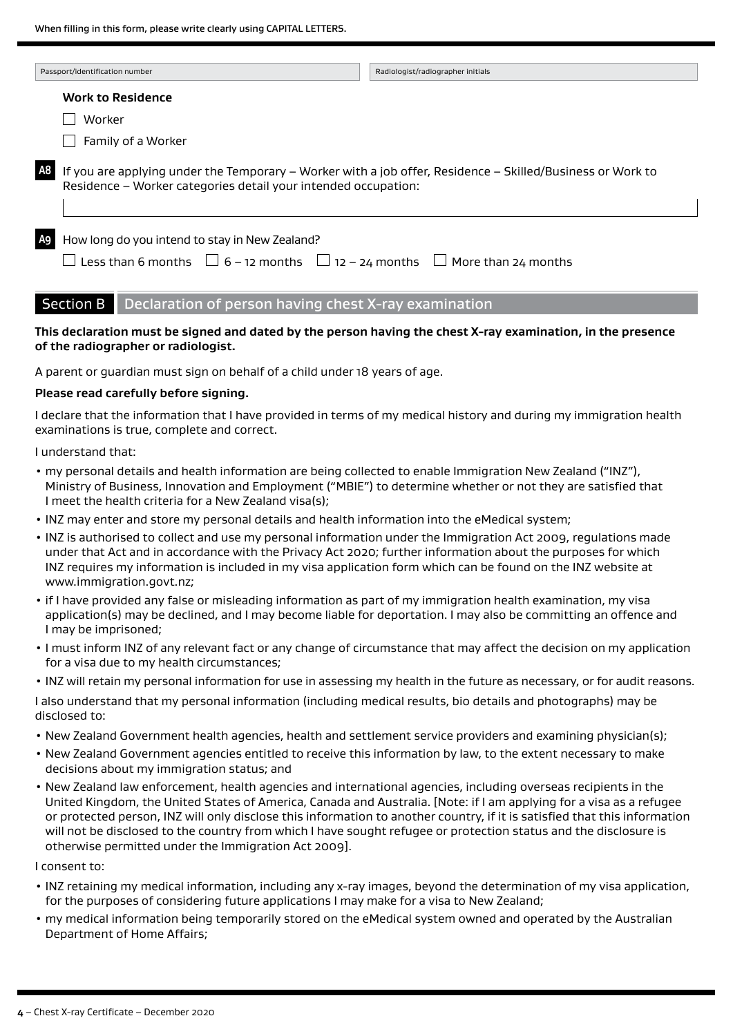| Passport/identification number |                                                                                                                                                                              | Radiologist/radiographer initials |
|--------------------------------|------------------------------------------------------------------------------------------------------------------------------------------------------------------------------|-----------------------------------|
|                                | <b>Work to Residence</b>                                                                                                                                                     |                                   |
|                                | Worker                                                                                                                                                                       |                                   |
|                                | Family of a Worker                                                                                                                                                           |                                   |
| A8                             | If you are applying under the Temporary - Worker with a job offer, Residence - Skilled/Business or Work to<br>Residence - Worker categories detail your intended occupation: |                                   |
| A <sub>9</sub>                 | How long do you intend to stay in New Zealand?<br>Less than 6 months $\Box$ 6 – 12 months $\Box$ 12 – 24 months $\Box$ More than 24 months                                   |                                   |

## Section B Declaration of person having chest X-ray examination

### **This declaration must be signed and dated by the person having the chest X-ray examination, in the presence of the radiographer or radiologist.**

A parent or guardian must sign on behalf of a child under 18 years of age.

#### **Please read carefully before signing.**

I declare that the information that I have provided in terms of my medical history and during my immigration health examinations is true, complete and correct.

I understand that:

- my personal details and health information are being collected to enable Immigration New Zealand ("INZ"), Ministry of Business, Innovation and Employment ("MBIE") to determine whether or not they are satisfied that I meet the health criteria for a New Zealand visa(s);
- INZ may enter and store my personal details and health information into the eMedical system;
- INZ is authorised to collect and use my personal information under the Immigration Act 2009, regulations made under that Act and in accordance with the Privacy Act 2020; further information about the purposes for which INZ requires my information is included in my visa application form which can be found on the INZ website at www.immigration.govt.nz;
- if I have provided any false or misleading information as part of my immigration health examination, my visa application(s) may be declined, and I may become liable for deportation. I may also be committing an offence and I may be imprisoned;
- I must inform INZ of any relevant fact or any change of circumstance that may affect the decision on my application for a visa due to my health circumstances;
- INZ will retain my personal information for use in assessing my health in the future as necessary, or for audit reasons.

I also understand that my personal information (including medical results, bio details and photographs) may be disclosed to:

- New Zealand Government health agencies, health and settlement service providers and examining physician(s);
- New Zealand Government agencies entitled to receive this information by law, to the extent necessary to make decisions about my immigration status; and
- New Zealand law enforcement, health agencies and international agencies, including overseas recipients in the United Kingdom, the United States of America, Canada and Australia. [Note: if I am applying for a visa as a refugee or protected person, INZ will only disclose this information to another country, if it is satisfied that this information will not be disclosed to the country from which I have sought refugee or protection status and the disclosure is otherwise permitted under the Immigration Act 2009].

I consent to:

- INZ retaining my medical information, including any x-ray images, beyond the determination of my visa application, for the purposes of considering future applications I may make for a visa to New Zealand;
- my medical information being temporarily stored on the eMedical system owned and operated by the Australian Department of Home Affairs;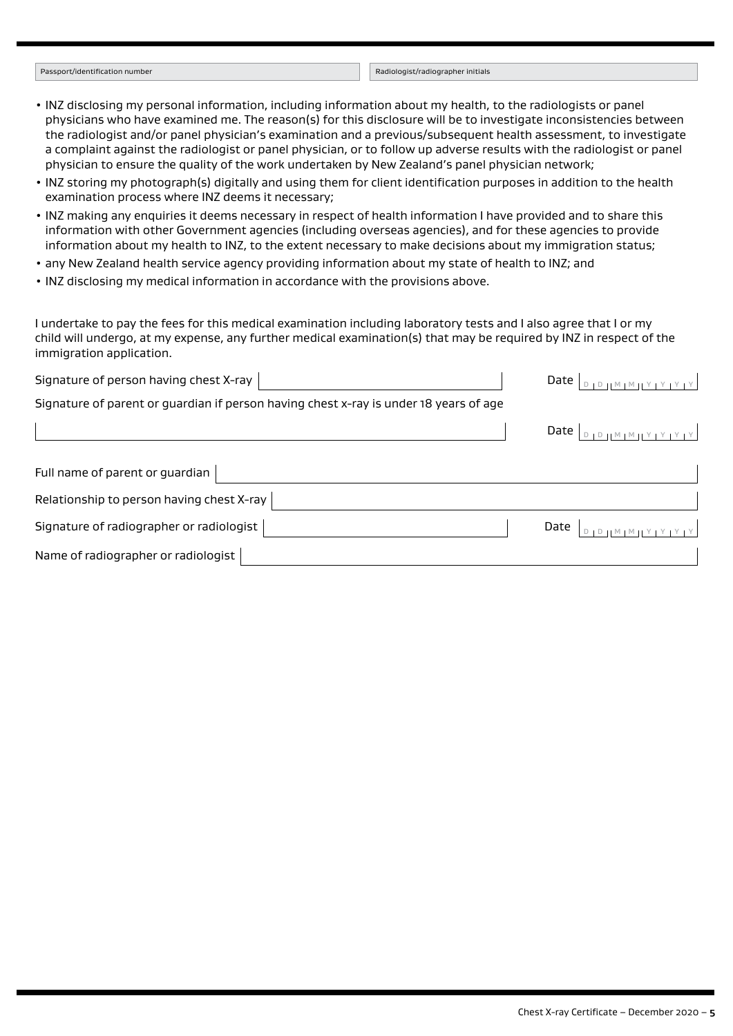#### Passport/identification number Radiologist/radiographer initials

- INZ disclosing my personal information, including information about my health, to the radiologists or panel physicians who have examined me. The reason(s) for this disclosure will be to investigate inconsistencies between the radiologist and/or panel physician's examination and a previous/subsequent health assessment, to investigate a complaint against the radiologist or panel physician, or to follow up adverse results with the radiologist or panel physician to ensure the quality of the work undertaken by New Zealand's panel physician network;
- INZ storing my photograph(s) digitally and using them for client identification purposes in addition to the health examination process where INZ deems it necessary;
- INZ making any enquiries it deems necessary in respect of health information I have provided and to share this information with other Government agencies (including overseas agencies), and for these agencies to provide information about my health to INZ, to the extent necessary to make decisions about my immigration status;
- any New Zealand health service agency providing information about my state of health to INZ; and
- INZ disclosing my medical information in accordance with the provisions above.

I undertake to pay the fees for this medical examination including laboratory tests and I also agree that I or my child will undergo, at my expense, any further medical examination(s) that may be required by INZ in respect of the immigration application.

| Signature of person having chest X-ray                                                | Date | VIMILY I Y I Y I Y                                                |
|---------------------------------------------------------------------------------------|------|-------------------------------------------------------------------|
| Signature of parent or guardian if person having chest x-ray is under 18 years of age |      |                                                                   |
|                                                                                       |      | Date $\vert_{\text{DIPHMIMINY}$                                   |
| Full name of parent or guardian                                                       |      |                                                                   |
| Relationship to person having chest X-ray                                             |      |                                                                   |
| Signature of radiographer or radiologist                                              | Date | $\begin{bmatrix} 1 & M & M & M & Y & Y & Y & Y & Y \end{bmatrix}$ |
| Name of radiographer or radiologist                                                   |      |                                                                   |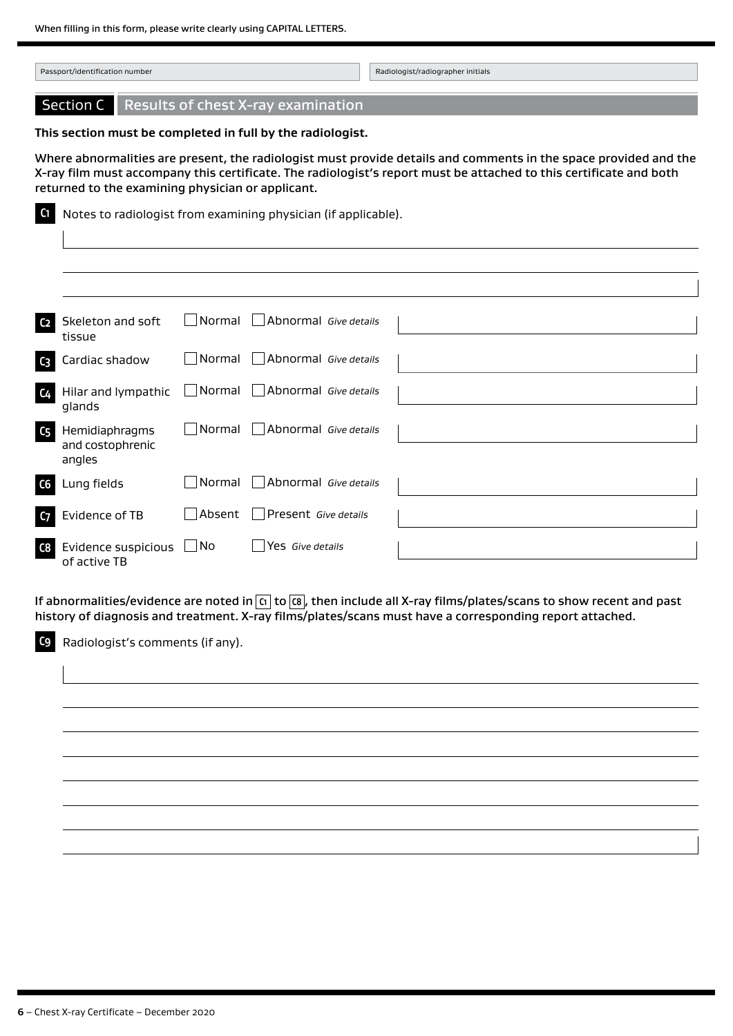| Passport/identification number                             |  | Radiologist/radiographer initials |
|------------------------------------------------------------|--|-----------------------------------|
| <b>Section C</b> Results of chest X-ray examination        |  |                                   |
| This section must be completed in full by the radiologist. |  |                                   |

Where abnormalities are present, the radiologist must provide details and comments in the space provided and the X-ray film must accompany this certificate. The radiologist's report must be attached to this certificate and both returned to the examining physician or applicant.

**C1** Notes to radiologist from examining physician (if applicable).

| C <sub>2</sub> | Skeleton and soft<br>tissue                   |                             | $\Box$ Normal $\Box$ Abnormal Give details |  |
|----------------|-----------------------------------------------|-----------------------------|--------------------------------------------|--|
| $C_3$          | Cardiac shadow                                | $\hfill\blacksquare$ Normal | Abnormal Give details                      |  |
| C <sub>4</sub> | Hilar and lympathic<br>glands                 |                             | Normal Abnormal Give details               |  |
| C <sub>5</sub> | Hemidiaphragms<br>and costophrenic<br>angles  | l Normal                    | Abnormal Give details                      |  |
| C6             | Lung fields                                   | Normal                      | Abnormal Give details                      |  |
| C <sub>7</sub> | Evidence of TB                                | Absent                      | Present Give details                       |  |
| C8             | Evidence suspicious $\Box$ No<br>of active TB |                             | Yes Give details                           |  |

If abnormalities/evidence are noted in **C1** to **C8** , then include all X-ray films/plates/scans to show recent and past history of diagnosis and treatment. X-ray films/plates/scans must have a corresponding report attached.

**C9** Radiologist's comments (if any).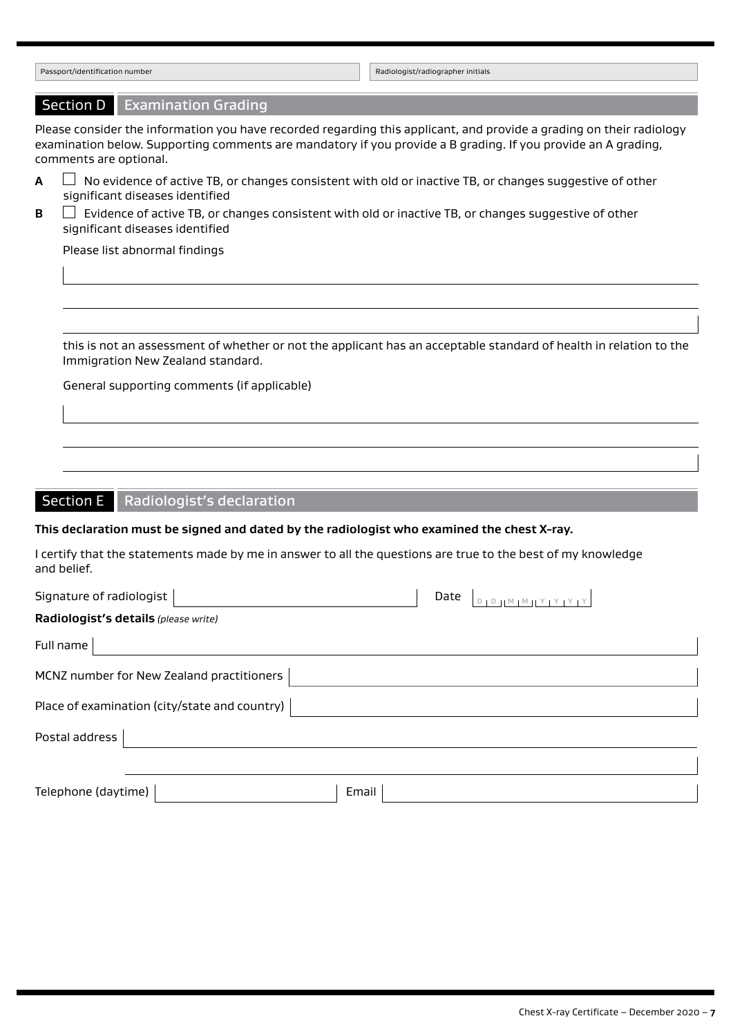| Passport/identification number                                                                                                                                                                                                                                  | Radiologist/radiographer initials       |  |  |
|-----------------------------------------------------------------------------------------------------------------------------------------------------------------------------------------------------------------------------------------------------------------|-----------------------------------------|--|--|
| Section D   Examination Grading                                                                                                                                                                                                                                 |                                         |  |  |
| Please consider the information you have recorded regarding this applicant, and provide a grading on their radiology<br>examination below. Supporting comments are mandatory if you provide a B grading. If you provide an A grading,<br>comments are optional. |                                         |  |  |
| No evidence of active TB, or changes consistent with old or inactive TB, or changes suggestive of other<br>A<br>significant diseases identified                                                                                                                 |                                         |  |  |
| Evidence of active TB, or changes consistent with old or inactive TB, or changes suggestive of other<br>B<br>significant diseases identified<br>Please list abnormal findings                                                                                   |                                         |  |  |
|                                                                                                                                                                                                                                                                 |                                         |  |  |
| this is not an assessment of whether or not the applicant has an acceptable standard of health in relation to the<br>Immigration New Zealand standard.                                                                                                          |                                         |  |  |
| General supporting comments (if applicable)                                                                                                                                                                                                                     |                                         |  |  |
|                                                                                                                                                                                                                                                                 |                                         |  |  |
|                                                                                                                                                                                                                                                                 |                                         |  |  |
|                                                                                                                                                                                                                                                                 |                                         |  |  |
| <b>Section E</b><br><b>Radiologist's declaration</b>                                                                                                                                                                                                            |                                         |  |  |
| This declaration must be signed and dated by the radiologist who examined the chest X-ray.                                                                                                                                                                      |                                         |  |  |
| I certify that the statements made by me in answer to all the questions are true to the best of my knowledge<br>and belief.                                                                                                                                     |                                         |  |  |
| Signature of radiologist                                                                                                                                                                                                                                        | Date<br>$D + D + M + M + Y + Y + Y + Y$ |  |  |
| Radiologist's details (please write)                                                                                                                                                                                                                            |                                         |  |  |
| Full name                                                                                                                                                                                                                                                       |                                         |  |  |
| MCNZ number for New Zealand practitioners                                                                                                                                                                                                                       |                                         |  |  |
| Place of examination (city/state and country)                                                                                                                                                                                                                   |                                         |  |  |
| Postal address                                                                                                                                                                                                                                                  |                                         |  |  |
| Telephone (daytime)<br>Email                                                                                                                                                                                                                                    |                                         |  |  |
|                                                                                                                                                                                                                                                                 |                                         |  |  |